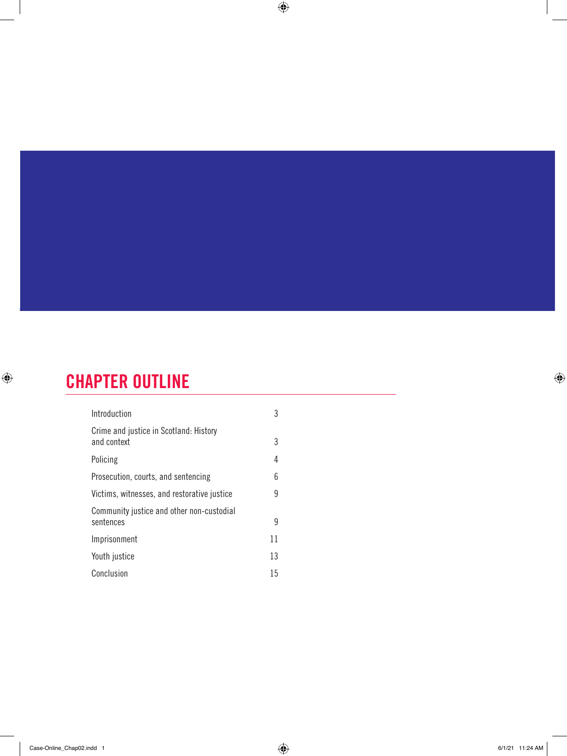# CHAPTER OUTLINE

 $\bigoplus$ 

| Introduction                                           | 3  |  |
|--------------------------------------------------------|----|--|
| Crime and justice in Scotland: History<br>and context  | 3  |  |
| Policing                                               | 4  |  |
| Prosecution, courts, and sentencing                    | 6  |  |
| Victims, witnesses, and restorative justice            | 9  |  |
| Community justice and other non-custodial<br>sentences | 9  |  |
| Imprisonment                                           | 11 |  |
| Youth justice                                          | 13 |  |
| Conclusion                                             | 15 |  |

 $\bigoplus$ 

 $\bigoplus$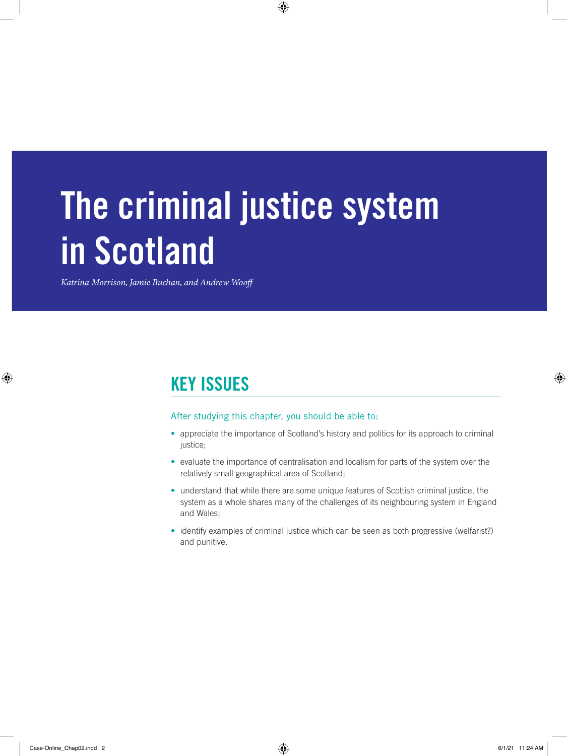# The criminal justice system in Scotland

 $\bigoplus$ 

*Katrina Morrison, Jamie Buchan, and Andrew Wooff* 

### KEY ISSUES

#### After studying this chapter, you should be able to:

- appreciate the importance of Scotland's history and politics for its approach to criminal justice;
- evaluate the importance of centralisation and localism for parts of the system over the relatively small geographical area of Scotland;
- understand that while there are some unique features of Scottish criminal justice, the system as a whole shares many of the challenges of its neighbouring system in England and Wales;
- identify examples of criminal justice which can be seen as both progressive (welfarist?) and punitive.

 $\bigoplus$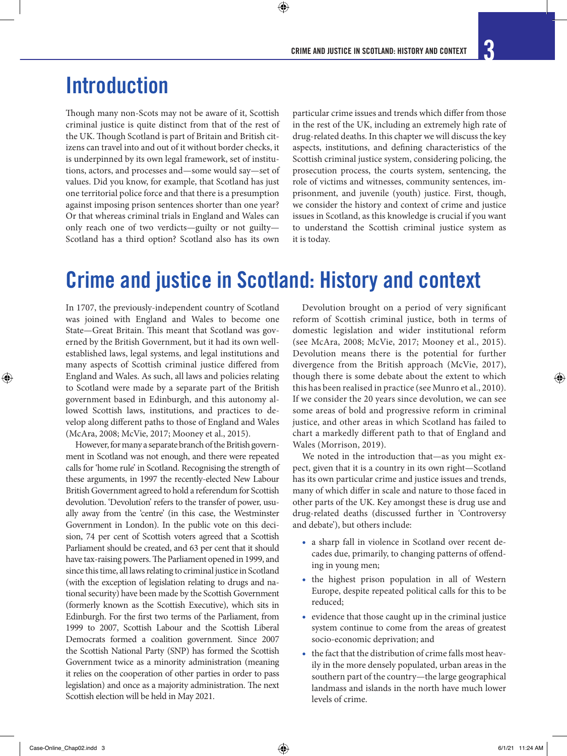# **Introduction**

Though many non-Scots may not be aware of it, Scottish criminal justice is quite distinct from that of the rest of the UK. Though Scotland is part of Britain and British citizens can travel into and out of it without border checks, it is underpinned by its own legal framework, set of institutions, actors, and processes and—some would say—set of values. Did you know, for example, that Scotland has just one territorial police force and that there is a presumption against imposing prison sentences shorter than one year? Or that whereas criminal trials in England and Wales can only reach one of two verdicts—guilty or not guilty— Scotland has a third option? Scotland also has its own

particular crime issues and trends which differ from those in the rest of the UK, including an extremely high rate of drug-related deaths. In this chapter we will discuss the key aspects, institutions, and defining characteristics of the Scottish criminal justice system, considering policing, the prosecution process, the courts system, sentencing, the role of victims and witnesses, community sentences, imprisonment, and juvenile (youth) justice. First, though, we consider the history and context of crime and justice issues in Scotland, as this knowledge is crucial if you want to understand the Scottish criminal justice system as it is today.

# Crime and justice in Scotland: History and context

 $\bm{\Theta}$ 

In 1707, the previously-independent country of Scotland was joined with England and Wales to become one State—Great Britain. This meant that Scotland was governed by the British Government, but it had its own wellestablished laws, legal systems, and legal institutions and many aspects of Scottish criminal justice differed from England and Wales. As such, all laws and policies relating to Scotland were made by a separate part of the British government based in Edinburgh, and this autonomy allowed Scottish laws, institutions, and practices to develop along different paths to those of England and Wales (McAra, 2008; McVie, 2017; Mooney et al., 2015).

However, for many a separate branch of the British government in Scotland was not enough, and there were repeated calls for 'home rule' in Scotland. Recognising the strength of these arguments, in 1997 the recently-elected New Labour British Government agreed to hold a referendum for Scottish devolution. 'Devolution' refers to the transfer of power, usually away from the 'centre' (in this case, the Westminster Government in London). In the public vote on this decision, 74 per cent of Scottish voters agreed that a Scottish Parliament should be created, and 63 per cent that it should have tax-raising powers. The Parliament opened in 1999, and since this time, all laws relating to criminal justice in Scotland (with the exception of legislation relating to drugs and national security) have been made by the Scottish Government (formerly known as the Scottish Executive), which sits in Edinburgh. For the first two terms of the Parliament, from 1999 to 2007, Scottish Labour and the Scottish Liberal Democrats formed a coalition government. Since 2007 the Scottish National Party (SNP) has formed the Scottish Government twice as a minority administration (meaning it relies on the cooperation of other parties in order to pass legislation) and once as a majority administration. The next Scottish election will be held in May 2021.

Devolution brought on a period of very significant reform of Scottish criminal justice, both in terms of domestic legislation and wider institutional reform (see McAra, 2008; McVie, 2017; Mooney et al., 2015). Devolution means there is the potential for further divergence from the British approach (McVie, 2017), though there is some debate about the extent to which this has been realised in practice (see Munro et al., 2010). If we consider the 20 years since devolution, we can see some areas of bold and progressive reform in criminal justice, and other areas in which Scotland has failed to chart a markedly different path to that of England and Wales (Morrison, 2019).

We noted in the introduction that—as you might expect, given that it is a country in its own right—Scotland has its own particular crime and justice issues and trends, many of which differ in scale and nature to those faced in other parts of the UK. Key amongst these is drug use and drug-related deaths (discussed further in 'Controversy and debate'), but others include:

- a sharp fall in violence in Scotland over recent decades due, primarily, to changing patterns of offending in young men;
- the highest prison population in all of Western Europe, despite repeated political calls for this to be reduced;
- evidence that those caught up in the criminal justice system continue to come from the areas of greatest socio-economic deprivation; and
- the fact that the distribution of crime falls most heavily in the more densely populated, urban areas in the southern part of the country—the large geographical landmass and islands in the north have much lower levels of crime.

⊕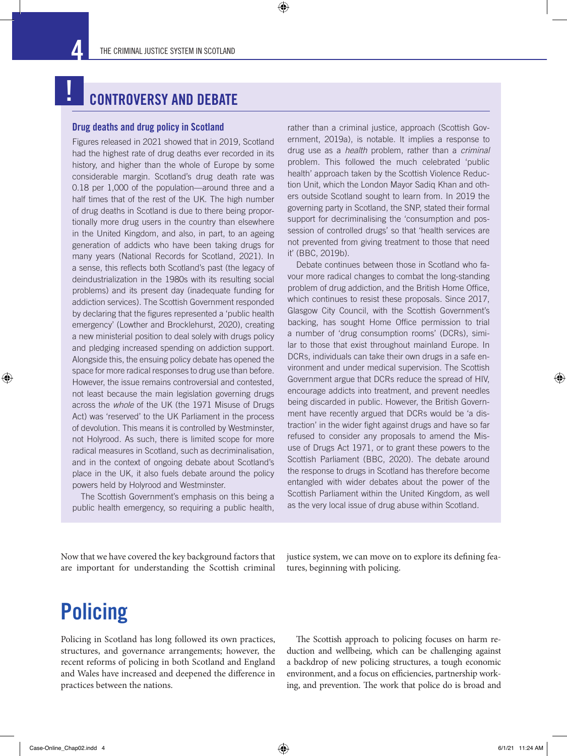$\bigcirc$ 

### CONTROVERSY AND DEBATE

#### Drug deaths and drug policy in Scotland

!

⊕

Figures released in 2021 showed that in 2019, Scotland had the highest rate of drug deaths ever recorded in its history, and higher than the whole of Europe by some considerable margin. Scotland's drug death rate was 0.18 per 1,000 of the population—around three and a half times that of the rest of the UK. The high number of drug deaths in Scotland is due to there being proportionally more drug users in the country than elsewhere in the United Kingdom, and also, in part, to an ageing generation of addicts who have been taking drugs for many years (National Records for Scotland, 2021). In a sense, this reflects both Scotland's past (the legacy of deindustrialization in the 1980s with its resulting social problems) and its present day (inadequate funding for addiction services). The Scottish Government responded by declaring that the figures represented a 'public health emergency' (Lowther and Brocklehurst, 2020), creating a new ministerial position to deal solely with drugs policy and pledging increased spending on addiction support. Alongside this, the ensuing policy debate has opened the space for more radical responses to drug use than before. However, the issue remains controversial and contested, not least because the main legislation governing drugs across the *whole* of the UK (the 1971 Misuse of Drugs Act) was 'reserved' to the UK Parliament in the process of devolution. This means it is controlled by Westminster, not Holyrood. As such, there is limited scope for more radical measures in Scotland, such as decriminalisation, and in the context of ongoing debate about Scotland's place in the UK, it also fuels debate around the policy powers held by Holyrood and Westminster.

The Scottish Government's emphasis on this being a public health emergency, so requiring a public health, rather than a criminal justice, approach (Scottish Government, 2019a), is notable. It implies a response to drug use as a *health* problem, rather than a *criminal* problem. This followed the much celebrated 'public health' approach taken by the Scottish Violence Reduction Unit, which the London Mayor Sadiq Khan and others outside Scotland sought to learn from. In 2019 the governing party in Scotland, the SNP, stated their formal support for decriminalising the 'consumption and possession of controlled drugs' so that 'health services are not prevented from giving treatment to those that need it' (BBC, 2019b).

Debate continues between those in Scotland who favour more radical changes to combat the long-standing problem of drug addiction, and the British Home Office, which continues to resist these proposals. Since 2017, Glasgow City Council, with the Scottish Government's backing, has sought Home Office permission to trial a number of 'drug consumption rooms' (DCRs), similar to those that exist throughout mainland Europe. In DCRs, individuals can take their own drugs in a safe environment and under medical supervision. The Scottish Government argue that DCRs reduce the spread of HIV, encourage addicts into treatment, and prevent needles being discarded in public. However, the British Government have recently argued that DCRs would be 'a distraction' in the wider fight against drugs and have so far refused to consider any proposals to amend the Misuse of Drugs Act 1971, or to grant these powers to the Scottish Parliament (BBC, 2020). The debate around the response to drugs in Scotland has therefore become entangled with wider debates about the power of the Scottish Parliament within the United Kingdom, as well as the very local issue of drug abuse within Scotland.

Now that we have covered the key background factors that are important for understanding the Scottish criminal justice system, we can move on to explore its defining features, beginning with policing.

# **Policing**

Policing in Scotland has long followed its own practices, structures, and governance arrangements; however, the recent reforms of policing in both Scotland and England and Wales have increased and deepened the difference in practices between the nations.

The Scottish approach to policing focuses on harm reduction and wellbeing, which can be challenging against a backdrop of new policing structures, a tough economic environment, and a focus on efficiencies, partnership working, and prevention. The work that police do is broad and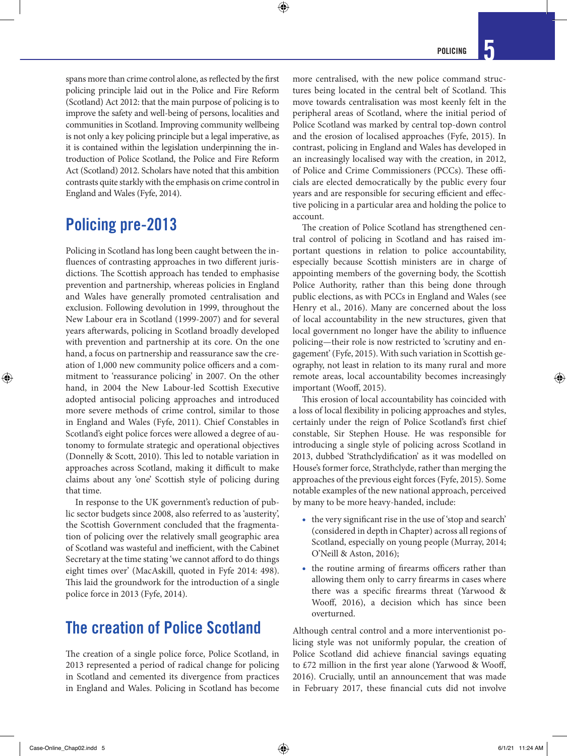spans more than crime control alone, as reflected by the first policing principle laid out in the Police and Fire Reform (Scotland) Act 2012: that the main purpose of policing is to improve the safety and well-being of persons, localities and communities in Scotland. Improving community wellbeing is not only a key policing principle but a legal imperative, as it is contained within the legislation underpinning the introduction of Police Scotland, the Police and Fire Reform Act (Scotland) 2012. Scholars have noted that this ambition contrasts quite starkly with the emphasis on crime control in England and Wales (Fyfe, 2014).

 $\bm{\Theta}$ 

### Policing pre-2013

Policing in Scotland has long been caught between the influences of contrasting approaches in two different jurisdictions. The Scottish approach has tended to emphasise prevention and partnership, whereas policies in England and Wales have generally promoted centralisation and exclusion. Following devolution in 1999, throughout the New Labour era in Scotland (1999-2007) and for several years afterwards, policing in Scotland broadly developed with prevention and partnership at its core. On the one hand, a focus on partnership and reassurance saw the creation of 1,000 new community police officers and a commitment to 'reassurance policing' in 2007. On the other hand, in 2004 the New Labour-led Scottish Executive adopted antisocial policing approaches and introduced more severe methods of crime control, similar to those in England and Wales (Fyfe, 2011). Chief Constables in Scotland's eight police forces were allowed a degree of autonomy to formulate strategic and operational objectives (Donnelly & Scott, 2010). This led to notable variation in approaches across Scotland, making it difficult to make claims about any 'one' Scottish style of policing during that time.

In response to the UK government's reduction of public sector budgets since 2008, also referred to as 'austerity', the Scottish Government concluded that the fragmentation of policing over the relatively small geographic area of Scotland was wasteful and inefficient, with the Cabinet Secretary at the time stating 'we cannot afford to do things eight times over' (MacAskill, quoted in Fyfe 2014: 498). This laid the groundwork for the introduction of a single police force in 2013 (Fyfe, 2014).

### The creation of Police Scotland

The creation of a single police force, Police Scotland, in 2013 represented a period of radical change for policing in Scotland and cemented its divergence from practices in England and Wales. Policing in Scotland has become more centralised, with the new police command structures being located in the central belt of Scotland. This move towards centralisation was most keenly felt in the peripheral areas of Scotland, where the initial period of Police Scotland was marked by central top-down control and the erosion of localised approaches (Fyfe, 2015). In contrast, policing in England and Wales has developed in an increasingly localised way with the creation, in 2012, of Police and Crime Commissioners (PCCs). These officials are elected democratically by the public every four years and are responsible for securing efficient and effective policing in a particular area and holding the police to account.

The creation of Police Scotland has strengthened central control of policing in Scotland and has raised important questions in relation to police accountability, especially because Scottish ministers are in charge of appointing members of the governing body, the Scottish Police Authority, rather than this being done through public elections, as with PCCs in England and Wales (see Henry et al., 2016). Many are concerned about the loss of local accountability in the new structures, given that local government no longer have the ability to influence policing—their role is now restricted to 'scrutiny and engagement' (Fyfe, 2015). With such variation in Scottish geography, not least in relation to its many rural and more remote areas, local accountability becomes increasingly important (Wooff, 2015).

This erosion of local accountability has coincided with a loss of local flexibility in policing approaches and styles, certainly under the reign of Police Scotland's first chief constable, Sir Stephen House. He was responsible for introducing a single style of policing across Scotland in 2013, dubbed 'Strathclydification' as it was modelled on House's former force, Strathclyde, rather than merging the approaches of the previous eight forces (Fyfe, 2015). Some notable examples of the new national approach, perceived by many to be more heavy-handed, include:

- the very significant rise in the use of 'stop and search' (considered in depth in Chapter) across all regions of Scotland, especially on young people (Murray, 2014; O'Neill & Aston, 2016);
- the routine arming of firearms officers rather than allowing them only to carry firearms in cases where there was a specific firearms threat (Yarwood & Wooff, 2016), a decision which has since been overturned.

Although central control and a more interventionist policing style was not uniformly popular, the creation of Police Scotland did achieve financial savings equating to £72 million in the first year alone (Yarwood & Wooff, 2016). Crucially, until an announcement that was made in February 2017, these financial cuts did not involve

↔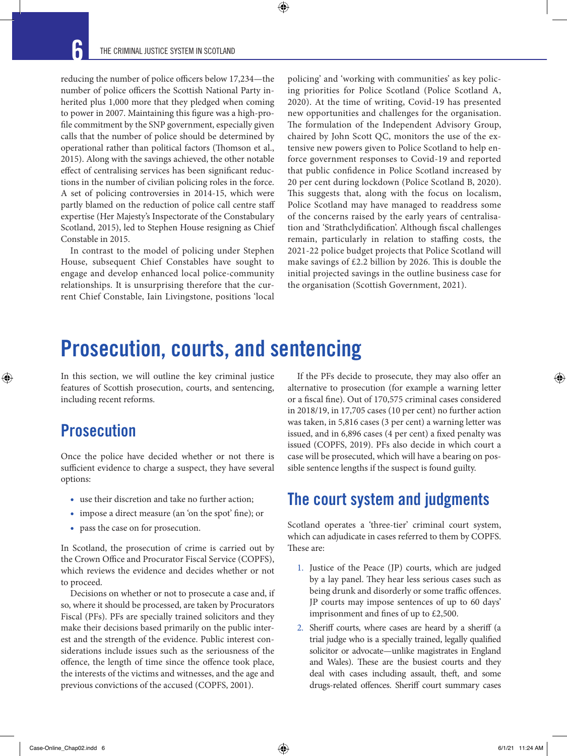$\bm{\Theta}$ 

reducing the number of police officers below 17,234—the number of police officers the Scottish National Party inherited plus 1,000 more that they pledged when coming to power in 2007. Maintaining this figure was a high-profile commitment by the SNP government, especially given calls that the number of police should be determined by operational rather than political factors (Thomson et al., 2015). Along with the savings achieved, the other notable effect of centralising services has been significant reductions in the number of civilian policing roles in the force. A set of policing controversies in 2014-15, which were partly blamed on the reduction of police call centre staff expertise (Her Majesty's Inspectorate of the Constabulary Scotland, 2015), led to Stephen House resigning as Chief Constable in 2015.

In contrast to the model of policing under Stephen House, subsequent Chief Constables have sought to engage and develop enhanced local police-community relationships. It is unsurprising therefore that the current Chief Constable, Iain Livingstone, positions 'local

policing' and 'working with communities' as key policing priorities for Police Scotland (Police Scotland A, 2020). At the time of writing, Covid-19 has presented new opportunities and challenges for the organisation. The formulation of the Independent Advisory Group, chaired by John Scott QC, monitors the use of the extensive new powers given to Police Scotland to help enforce government responses to Covid-19 and reported that public confidence in Police Scotland increased by 20 per cent during lockdown (Police Scotland B, 2020). This suggests that, along with the focus on localism, Police Scotland may have managed to readdress some of the concerns raised by the early years of centralisation and 'Strathclydification'. Although fiscal challenges remain, particularly in relation to staffing costs, the 2021-22 police budget projects that Police Scotland will make savings of £2.2 billion by 2026. This is double the initial projected savings in the outline business case for the organisation (Scottish Government, 2021).

# Prosecution, courts, and sentencing

In this section, we will outline the key criminal justice features of Scottish prosecution, courts, and sentencing, including recent reforms.

### **Prosecution**

⊕

Once the police have decided whether or not there is sufficient evidence to charge a suspect, they have several options:

- use their discretion and take no further action;
- impose a direct measure (an 'on the spot' fine); or
- pass the case on for prosecution.

In Scotland, the prosecution of crime is carried out by the Crown Office and Procurator Fiscal Service (COPFS), which reviews the evidence and decides whether or not to proceed.

Decisions on whether or not to prosecute a case and, if so, where it should be processed, are taken by Procurators Fiscal (PFs). PFs are specially trained solicitors and they make their decisions based primarily on the public interest and the strength of the evidence. Public interest considerations include issues such as the seriousness of the offence, the length of time since the offence took place, the interests of the victims and witnesses, and the age and previous convictions of the accused (COPFS, 2001).

If the PFs decide to prosecute, they may also offer an alternative to prosecution (for example a warning letter or a fiscal fine). Out of 170,575 criminal cases considered in 2018/19, in 17,705 cases (10 per cent) no further action was taken, in 5,816 cases (3 per cent) a warning letter was issued, and in 6,896 cases (4 per cent) a fixed penalty was issued (COPFS, 2019). PFs also decide in which court a case will be prosecuted, which will have a bearing on possible sentence lengths if the suspect is found guilty.

### The court system and judgments

Scotland operates a 'three-tier' criminal court system, which can adjudicate in cases referred to them by COPFS. These are:

- 1. Justice of the Peace (JP) courts, which are judged by a lay panel. They hear less serious cases such as being drunk and disorderly or some traffic offences. JP courts may impose sentences of up to 60 days' imprisonment and fines of up to £2,500.
- 2. Sheriff courts, where cases are heard by a sheriff (a trial judge who is a specially trained, legally qualified solicitor or advocate—unlike magistrates in England and Wales). These are the busiest courts and they deal with cases including assault, theft, and some drugs-related offences. Sheriff court summary cases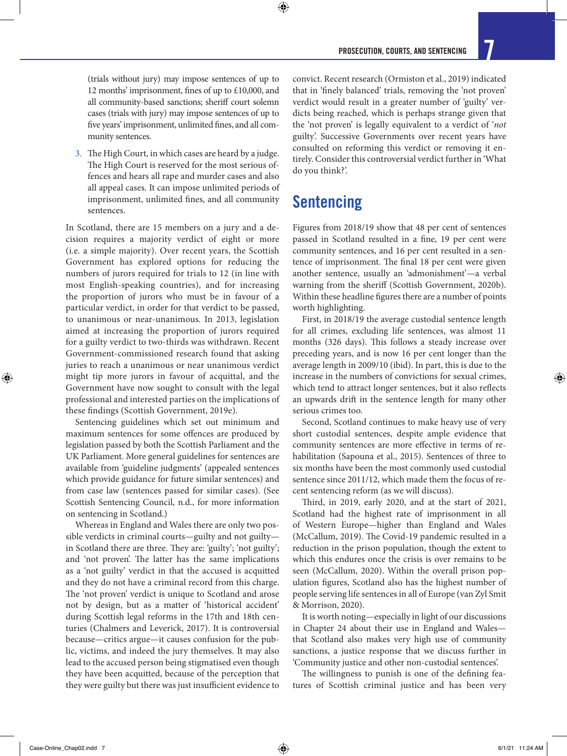(trials without jury) may impose sentences of up to 12 months' imprisonment, fines of up to £10,000, and all community-based sanctions; sheriff court solemn cases (trials with jury) may impose sentences of up to five years' imprisonment, unlimited fines, and all community sentences.

3. The High Court, in which cases are heard by a judge. The High Court is reserved for the most serious offences and hears all rape and murder cases and also all appeal cases. It can impose unlimited periods of imprisonment, unlimited fines, and all community sentences.

In Scotland, there are 15 members on a jury and a decision requires a majority verdict of eight or more (i.e. a simple majority). Over recent years, the Scottish Government has explored options for reducing the numbers of jurors required for trials to 12 (in line with most English-speaking countries), and for increasing the proportion of jurors who must be in favour of a particular verdict, in order for that verdict to be passed, to unanimous or near-unanimous. In 2013, legislation aimed at increasing the proportion of jurors required for a guilty verdict to two-thirds was withdrawn. Recent Government-commissioned research found that asking juries to reach a unanimous or near unanimous verdict might tip more jurors in favour of acquittal, and the Government have now sought to consult with the legal professional and interested parties on the implications of these findings (Scottish Government, 2019e).

Sentencing guidelines which set out minimum and maximum sentences for some offences are produced by legislation passed by both the Scottish Parliament and the UK Parliament. More general guidelines for sentences are available from 'guideline judgments' (appealed sentences which provide guidance for future similar sentences) and from case law (sentences passed for similar cases). (See Scottish Sentencing Council, n.d., for more information on sentencing in Scotland.)

Whereas in England and Wales there are only two possible verdicts in criminal courts—guilty and not guilty in Scotland there are three. They are: 'guilty'; 'not guilty'; and 'not proven'. The latter has the same implications as a 'not guilty' verdict in that the accused is acquitted and they do not have a criminal record from this charge. The 'not proven' verdict is unique to Scotland and arose not by design, but as a matter of 'historical accident' during Scottish legal reforms in the 17th and 18th centuries (Chalmers and Leverick, 2017). It is controversial because—critics argue—it causes confusion for the public, victims, and indeed the jury themselves. It may also lead to the accused person being stigmatised even though they have been acquitted, because of the perception that they were guilty but there was just insufficient evidence to convict. Recent research (Ormiston et al., 2019) indicated that in 'finely balanced' trials, removing the 'not proven' verdict would result in a greater number of 'guilty' verdicts being reached, which is perhaps strange given that the 'not proven' is legally equivalent to a verdict of '*not* guilty'. Successive Governments over recent years have consulted on reforming this verdict or removing it entirely. Consider this controversial verdict further in 'What do you think?'.

### Sentencing

⊕

Figures from 2018/19 show that 48 per cent of sentences passed in Scotland resulted in a fine, 19 per cent were community sentences, and 16 per cent resulted in a sentence of imprisonment. The final 18 per cent were given another sentence, usually an 'admonishment'—a verbal warning from the sheriff (Scottish Government, 2020b). Within these headline figures there are a number of points worth highlighting.

First, in 2018/19 the average custodial sentence length for all crimes, excluding life sentences, was almost 11 months (326 days). This follows a steady increase over preceding years, and is now 16 per cent longer than the average length in 2009/10 (ibid). In part, this is due to the increase in the numbers of convictions for sexual crimes, which tend to attract longer sentences, but it also reflects an upwards drift in the sentence length for many other serious crimes too.

Second, Scotland continues to make heavy use of very short custodial sentences, despite ample evidence that community sentences are more effective in terms of rehabilitation (Sapouna et al., 2015). Sentences of three to six months have been the most commonly used custodial sentence since 2011/12, which made them the focus of recent sentencing reform (as we will discuss).

Third, in 2019, early 2020, and at the start of 2021, Scotland had the highest rate of imprisonment in all of Western Europe—higher than England and Wales (McCallum, 2019). The Covid-19 pandemic resulted in a reduction in the prison population, though the extent to which this endures once the crisis is over remains to be seen (McCallum, 2020). Within the overall prison population figures, Scotland also has the highest number of people serving life sentences in all of Europe (van Zyl Smit & Morrison, 2020).

It is worth noting—especially in light of our discussions in Chapter 24 about their use in England and Wales that Scotland also makes very high use of community sanctions, a justice response that we discuss further in 'Community justice and other non-custodial sentences'.

The willingness to punish is one of the defining features of Scottish criminal justice and has been very

⊕

↔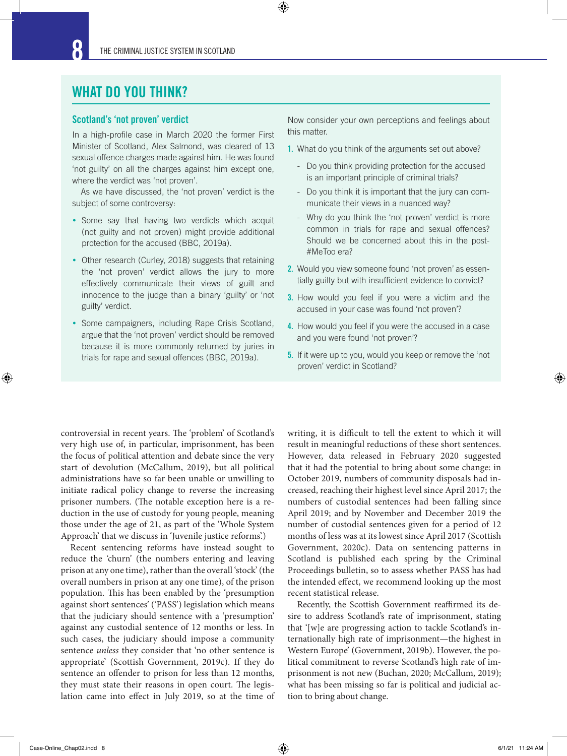$\bm{\Theta}$ 

#### WHAT DO YOU THINK?

#### Scotland's 'not proven' verdict

In a high-profile case in March 2020 the former First Minister of Scotland, Alex Salmond, was cleared of 13 sexual offence charges made against him. He was found 'not guilty' on all the charges against him except one, where the verdict was 'not proven'.

As we have discussed, the 'not proven' verdict is the subject of some controversy:

- Some say that having two verdicts which acquit (not guilty and not proven) might provide additional protection for the accused (BBC, 2019a).
- Other research (Curley, 2018) suggests that retaining the 'not proven' verdict allows the jury to more effectively communicate their views of guilt and innocence to the judge than a binary 'guilty' or 'not guilty' verdict.
- Some campaigners, including Rape Crisis Scotland, argue that the 'not proven' verdict should be removed because it is more commonly returned by juries in trials for rape and sexual offences (BBC, 2019a).

Now consider your own perceptions and feelings about this matter.

- 1. What do you think of the arguments set out above?
	- Do you think providing protection for the accused is an important principle of criminal trials?
	- Do you think it is important that the jury can communicate their views in a nuanced way?
	- Why do you think the 'not proven' verdict is more common in trials for rape and sexual offences? Should we be concerned about this in the post- #MeToo era?
- 2. Would you view someone found 'not proven' as essentially guilty but with insufficient evidence to convict?
- 3. How would you feel if you were a victim and the accused in your case was found 'not proven'?
- 4. How would you feel if you were the accused in a case and you were found 'not proven'?
- 5. If it were up to you, would you keep or remove the 'not proven' verdict in Scotland?

controversial in recent years. The 'problem' of Scotland's very high use of, in particular, imprisonment, has been the focus of political attention and debate since the very start of devolution (McCallum, 2019), but all political administrations have so far been unable or unwilling to initiate radical policy change to reverse the increasing prisoner numbers. (The notable exception here is a reduction in the use of custody for young people, meaning those under the age of 21, as part of the 'Whole System Approach' that we discuss in 'Juvenile justice reforms'.)

Recent sentencing reforms have instead sought to reduce the 'churn' (the numbers entering and leaving prison at any one time), rather than the overall 'stock' (the overall numbers in prison at any one time), of the prison population. This has been enabled by the 'presumption against short sentences' ('PASS') legislation which means that the judiciary should sentence with a 'presumption' against any custodial sentence of 12 months or less. In such cases, the judiciary should impose a community sentence *unless* they consider that 'no other sentence is appropriate' (Scottish Government, 2019c). If they do sentence an offender to prison for less than 12 months, they must state their reasons in open court. The legislation came into effect in July 2019, so at the time of writing, it is difficult to tell the extent to which it will result in meaningful reductions of these short sentences. However, data released in February 2020 suggested that it had the potential to bring about some change: in October 2019, numbers of community disposals had increased, reaching their highest level since April 2017; the numbers of custodial sentences had been falling since April 2019; and by November and December 2019 the number of custodial sentences given for a period of 12 months of less was at its lowest since April 2017 (Scottish Government, 2020c). Data on sentencing patterns in Scotland is published each spring by the Criminal Proceedings bulletin, so to assess whether PASS has had the intended effect, we recommend looking up the most recent statistical release.

Recently, the Scottish Government reaffirmed its desire to address Scotland's rate of imprisonment, stating that '[w]e are progressing action to tackle Scotland's internationally high rate of imprisonment—the highest in Western Europe' (Government, 2019b). However, the political commitment to reverse Scotland's high rate of imprisonment is not new (Buchan, 2020; McCallum, 2019); what has been missing so far is political and judicial action to bring about change.

Case-Online\_Chap02.indd 8 6/1/21 11:24 AM

⊕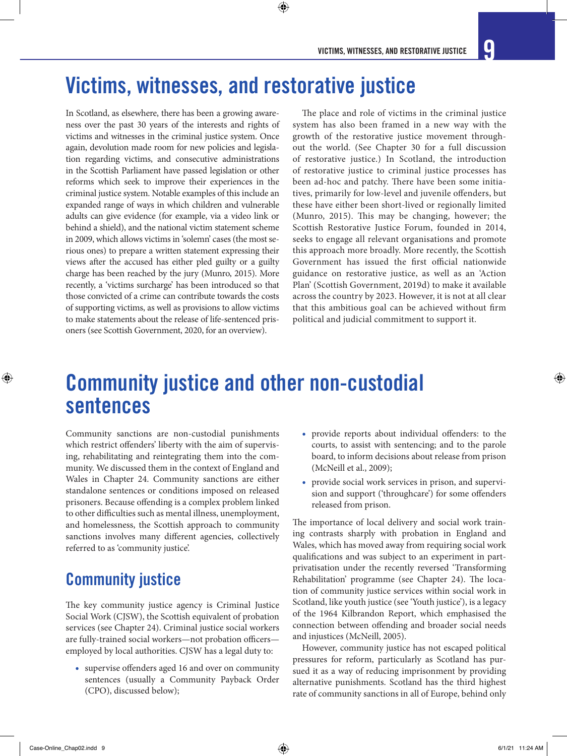# Victims, witnesses, and restorative justice

 $\bm{\Theta}$ 

In Scotland, as elsewhere, there has been a growing awareness over the past 30 years of the interests and rights of victims and witnesses in the criminal justice system. Once again, devolution made room for new policies and legislation regarding victims, and consecutive administrations in the Scottish Parliament have passed legislation or other reforms which seek to improve their experiences in the criminal justice system. Notable examples of this include an expanded range of ways in which children and vulnerable adults can give evidence (for example, via a video link or behind a shield), and the national victim statement scheme in 2009, which allows victims in 'solemn' cases (the most serious ones) to prepare a written statement expressing their views after the accused has either pled guilty or a guilty charge has been reached by the jury (Munro, 2015). More recently, a 'victims surcharge' has been introduced so that those convicted of a crime can contribute towards the costs of supporting victims, as well as provisions to allow victims to make statements about the release of life-sentenced prisoners (see Scottish Government, 2020, for an overview).

The place and role of victims in the criminal justice system has also been framed in a new way with the growth of the restorative justice movement throughout the world. (See Chapter 30 for a full discussion of restorative justice.) In Scotland, the introduction of restorative justice to criminal justice processes has been ad-hoc and patchy. There have been some initiatives, primarily for low-level and juvenile offenders, but these have either been short-lived or regionally limited (Munro, 2015). This may be changing, however; the Scottish Restorative Justice Forum, founded in 2014, seeks to engage all relevant organisations and promote this approach more broadly. More recently, the Scottish Government has issued the first official nationwide guidance on restorative justice, as well as an 'Action Plan' (Scottish Government, 2019d) to make it available across the country by 2023. However, it is not at all clear that this ambitious goal can be achieved without firm political and judicial commitment to support it.

## Community justice and other non-custodial sentences

Community sanctions are non-custodial punishments which restrict offenders' liberty with the aim of supervising, rehabilitating and reintegrating them into the community. We discussed them in the context of England and Wales in Chapter 24. Community sanctions are either standalone sentences or conditions imposed on released prisoners. Because offending is a complex problem linked to other difficulties such as mental illness, unemployment, and homelessness, the Scottish approach to community sanctions involves many different agencies, collectively referred to as 'community justice'.

### Community justice

The key community justice agency is Criminal Justice Social Work (CJSW), the Scottish equivalent of probation services (see Chapter 24). Criminal justice social workers are fully-trained social workers—not probation officers employed by local authorities. CJSW has a legal duty to:

• supervise offenders aged 16 and over on community sentences (usually a Community Payback Order (CPO), discussed below);

- provide reports about individual offenders: to the courts, to assist with sentencing; and to the parole board, to inform decisions about release from prison (McNeill et al., 2009);
- provide social work services in prison, and supervision and support ('throughcare') for some offenders released from prison.

The importance of local delivery and social work training contrasts sharply with probation in England and Wales, which has moved away from requiring social work qualifications and was subject to an experiment in partprivatisation under the recently reversed 'Transforming Rehabilitation' programme (see Chapter 24). The location of community justice services within social work in Scotland, like youth justice (see 'Youth justice'), is a legacy of the 1964 Kilbrandon Report, which emphasised the connection between offending and broader social needs and injustices (McNeill, 2005).

However, community justice has not escaped political pressures for reform, particularly as Scotland has pursued it as a way of reducing imprisonment by providing alternative punishments. Scotland has the third highest rate of community sanctions in all of Europe, behind only

⊕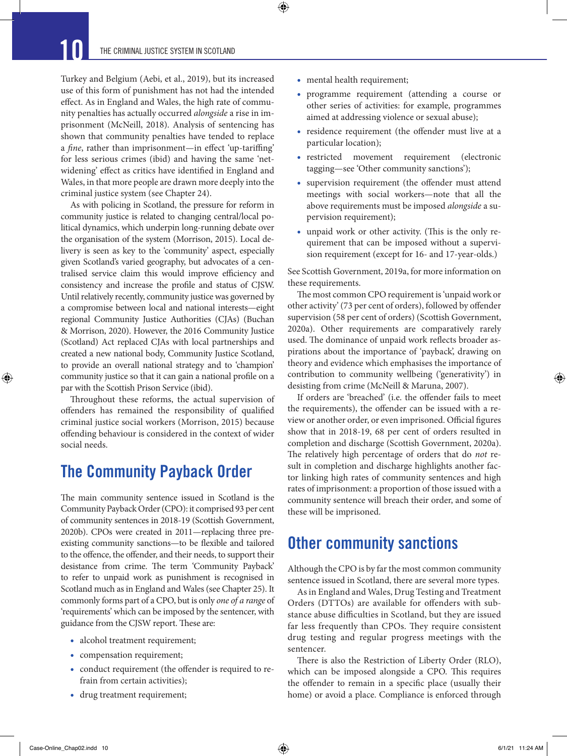⊕

Turkey and Belgium (Aebi, et al., 2019), but its increased use of this form of punishment has not had the intended effect. As in England and Wales, the high rate of community penalties has actually occurred *alongside* a rise in imprisonment (McNeill, 2018). Analysis of sentencing has shown that community penalties have tended to replace a *fine*, rather than imprisonment—in effect 'up-tariffing' for less serious crimes (ibid) and having the same 'netwidening' effect as critics have identified in England and Wales, in that more people are drawn more deeply into the criminal justice system (see Chapter 24).

As with policing in Scotland, the pressure for reform in community justice is related to changing central/local political dynamics, which underpin long-running debate over the organisation of the system (Morrison, 2015). Local delivery is seen as key to the 'community' aspect, especially given Scotland's varied geography, but advocates of a centralised service claim this would improve efficiency and consistency and increase the profile and status of CJSW. Until relatively recently, community justice was governed by a compromise between local and national interests—eight regional Community Justice Authorities (CJAs) (Buchan & Morrison, 2020). However, the 2016 Community Justice (Scotland) Act replaced CJAs with local partnerships and created a new national body, Community Justice Scotland, to provide an overall national strategy and to 'champion' community justice so that it can gain a national profile on a par with the Scottish Prison Service (ibid).

Throughout these reforms, the actual supervision of offenders has remained the responsibility of qualified criminal justice social workers (Morrison, 2015) because offending behaviour is considered in the context of wider social needs.

### The Community Payback Order

The main community sentence issued in Scotland is the Community Payback Order (CPO): it comprised 93 per cent of community sentences in 2018-19 (Scottish Government, 2020b). CPOs were created in 2011—replacing three preexisting community sanctions—to be flexible and tailored to the offence, the offender, and their needs, to support their desistance from crime. The term 'Community Payback' to refer to unpaid work as punishment is recognised in Scotland much as in England and Wales (see Chapter 25). It commonly forms part of a CPO, but is only *one of a range* of 'requirements' which can be imposed by the sentencer, with guidance from the CJSW report. These are:

- alcohol treatment requirement;
- compensation requirement;
- conduct requirement (the offender is required to refrain from certain activities);
- drug treatment requirement;

• mental health requirement;

 $\bm{\Theta}$ 

- programme requirement (attending a course or other series of activities: for example, programmes aimed at addressing violence or sexual abuse);
- residence requirement (the offender must live at a particular location);
- restricted movement requirement (electronic tagging—see 'Other community sanctions');
- supervision requirement (the offender must attend meetings with social workers—note that all the above requirements must be imposed *alongside* a supervision requirement);
- unpaid work or other activity. (This is the only requirement that can be imposed without a supervision requirement (except for 16- and 17-year-olds.)

See Scottish Government, 2019a, for more information on these requirements.

The most common CPO requirement is 'unpaid work or other activity' (73 per cent of orders), followed by offender supervision (58 per cent of orders) (Scottish Government, 2020a). Other requirements are comparatively rarely used. The dominance of unpaid work reflects broader aspirations about the importance of 'payback', drawing on theory and evidence which emphasises the importance of contribution to community wellbeing ('generativity') in desisting from crime (McNeill & Maruna, 2007).

If orders are 'breached' (i.e. the offender fails to meet the requirements), the offender can be issued with a review or another order, or even imprisoned. Official figures show that in 2018-19, 68 per cent of orders resulted in completion and discharge (Scottish Government, 2020a). The relatively high percentage of orders that do *not* result in completion and discharge highlights another factor linking high rates of community sentences and high rates of imprisonment: a proportion of those issued with a community sentence will breach their order, and some of these will be imprisoned.

### Other community sanctions

Although the CPO is by far the most common community sentence issued in Scotland, there are several more types.

As in England and Wales, Drug Testing and Treatment Orders (DTTOs) are available for offenders with substance abuse difficulties in Scotland, but they are issued far less frequently than CPOs. They require consistent drug testing and regular progress meetings with the sentencer.

There is also the Restriction of Liberty Order (RLO), which can be imposed alongside a CPO. This requires the offender to remain in a specific place (usually their home) or avoid a place. Compliance is enforced through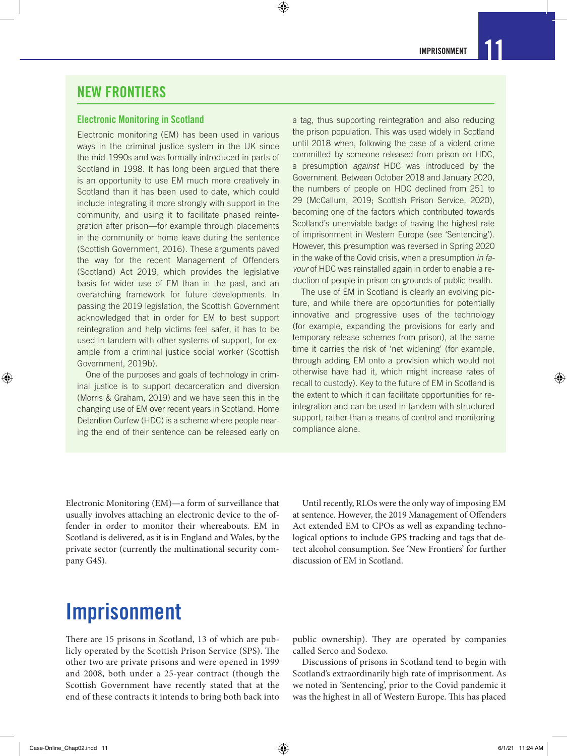#### NEW FRONTIERS

#### Electronic Monitoring in Scotland

Electronic monitoring (EM) has been used in various ways in the criminal justice system in the UK since the mid-1990s and was formally introduced in parts of Scotland in 1998. It has long been argued that there is an opportunity to use EM much more creatively in Scotland than it has been used to date, which could include integrating it more strongly with support in the community, and using it to facilitate phased reintegration after prison—for example through placements in the community or home leave during the sentence (Scottish Government, 2016). These arguments paved the way for the recent Management of Offenders (Scotland) Act 2019, which provides the legislative basis for wider use of EM than in the past, and an overarching framework for future developments. In passing the 2019 legislation, the Scottish Government acknowledged that in order for EM to best support reintegration and help victims feel safer, it has to be used in tandem with other systems of support, for example from a criminal justice social worker (Scottish Government, 2019b).

One of the purposes and goals of technology in criminal justice is to support decarceration and diversion (Morris & Graham, 2019) and we have seen this in the changing use of EM over recent years in Scotland. Home Detention Curfew (HDC) is a scheme where people nearing the end of their sentence can be released early on a tag, thus supporting reintegration and also reducing the prison population. This was used widely in Scotland until 2018 when, following the case of a violent crime committed by someone released from prison on HDC, a presumption *against* HDC was introduced by the Government. Between October 2018 and January 2020, the numbers of people on HDC declined from 251 to 29 (McCallum, 2019; Scottish Prison Service, 2020), becoming one of the factors which contributed towards Scotland's unenviable badge of having the highest rate of imprisonment in Western Europe (see 'Sentencing'). However, this presumption was reversed in Spring 2020 in the wake of the Covid crisis, when a presumption *in favour* of HDC was reinstalled again in order to enable a reduction of people in prison on grounds of public health.

The use of EM in Scotland is clearly an evolving picture, and while there are opportunities for potentially innovative and progressive uses of the technology (for example, expanding the provisions for early and temporary release schemes from prison), at the same time it carries the risk of 'net widening' (for example, through adding EM onto a provision which would not otherwise have had it, which might increase rates of recall to custody). Key to the future of EM in Scotland is the extent to which it can facilitate opportunities for reintegration and can be used in tandem with structured support, rather than a means of control and monitoring compliance alone.

Electronic Monitoring (EM)—a form of surveillance that usually involves attaching an electronic device to the offender in order to monitor their whereabouts. EM in Scotland is delivered, as it is in England and Wales, by the private sector (currently the multinational security company G4S).

Until recently, RLOs were the only way of imposing EM at sentence. However, the 2019 Management of Offenders Act extended EM to CPOs as well as expanding technological options to include GPS tracking and tags that detect alcohol consumption. See 'New Frontiers' for further discussion of EM in Scotland.

# Imprisonment

There are 15 prisons in Scotland, 13 of which are publicly operated by the Scottish Prison Service (SPS). The other two are private prisons and were opened in 1999 and 2008, both under a 25-year contract (though the Scottish Government have recently stated that at the end of these contracts it intends to bring both back into

public ownership). They are operated by companies called Serco and Sodexo.

Discussions of prisons in Scotland tend to begin with Scotland's extraordinarily high rate of imprisonment. As we noted in 'Sentencing', prior to the Covid pandemic it was the highest in all of Western Europe. This has placed

⊕

♠

 $\bigcirc$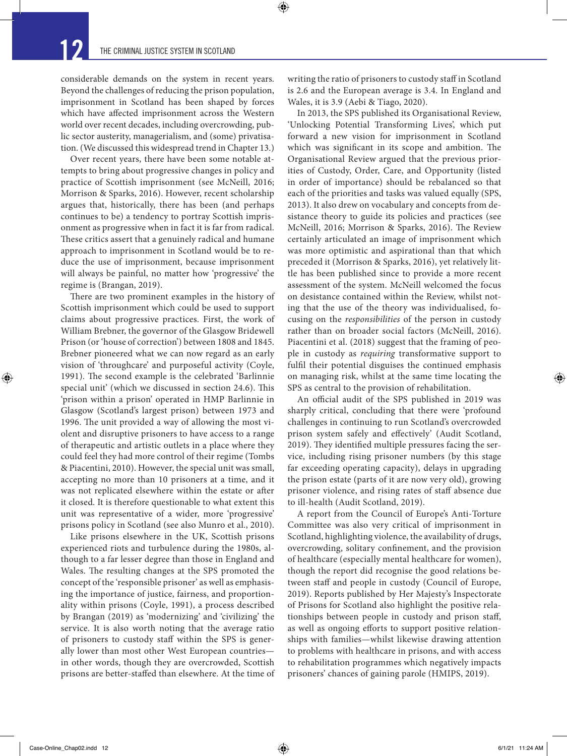considerable demands on the system in recent years. Beyond the challenges of reducing the prison population, imprisonment in Scotland has been shaped by forces which have affected imprisonment across the Western world over recent decades, including overcrowding, public sector austerity, managerialism, and (some) privatisation. (We discussed this widespread trend in Chapter 13.)

Over recent years, there have been some notable attempts to bring about progressive changes in policy and practice of Scottish imprisonment (see McNeill, 2016; Morrison & Sparks, 2016). However, recent scholarship argues that, historically, there has been (and perhaps continues to be) a tendency to portray Scottish imprisonment as progressive when in fact it is far from radical. These critics assert that a genuinely radical and humane approach to imprisonment in Scotland would be to reduce the use of imprisonment, because imprisonment will always be painful, no matter how 'progressive' the regime is (Brangan, 2019).

There are two prominent examples in the history of Scottish imprisonment which could be used to support claims about progressive practices. First, the work of William Brebner, the governor of the Glasgow Bridewell Prison (or 'house of correction') between 1808 and 1845. Brebner pioneered what we can now regard as an early vision of 'throughcare' and purposeful activity (Coyle, 1991). The second example is the celebrated 'Barlinnie special unit' (which we discussed in section 24.6). This 'prison within a prison' operated in HMP Barlinnie in Glasgow (Scotland's largest prison) between 1973 and 1996. The unit provided a way of allowing the most violent and disruptive prisoners to have access to a range of therapeutic and artistic outlets in a place where they could feel they had more control of their regime (Tombs & Piacentini, 2010). However, the special unit was small, accepting no more than 10 prisoners at a time, and it was not replicated elsewhere within the estate or after it closed. It is therefore questionable to what extent this unit was representative of a wider, more 'progressive' prisons policy in Scotland (see also Munro et al., 2010).

Like prisons elsewhere in the UK, Scottish prisons experienced riots and turbulence during the 1980s, although to a far lesser degree than those in England and Wales. The resulting changes at the SPS promoted the concept of the 'responsible prisoner' as well as emphasising the importance of justice, fairness, and proportionality within prisons (Coyle, 1991), a process described by Brangan (2019) as 'modernizing' and 'civilizing' the service. It is also worth noting that the average ratio of prisoners to custody staff within the SPS is generally lower than most other West European countries in other words, though they are overcrowded, Scottish prisons are better-staffed than elsewhere. At the time of

writing the ratio of prisoners to custody staff in Scotland is 2.6 and the European average is 3.4. In England and Wales, it is 3.9 (Aebi & Tiago, 2020).

⊕

In 2013, the SPS published its Organisational Review, 'Unlocking Potential Transforming Lives', which put forward a new vision for imprisonment in Scotland which was significant in its scope and ambition. The Organisational Review argued that the previous priorities of Custody, Order, Care, and Opportunity (listed in order of importance) should be rebalanced so that each of the priorities and tasks was valued equally (SPS, 2013). It also drew on vocabulary and concepts from desistance theory to guide its policies and practices (see McNeill, 2016; Morrison & Sparks, 2016). The Review certainly articulated an image of imprisonment which was more optimistic and aspirational than that which preceded it (Morrison & Sparks, 2016), yet relatively little has been published since to provide a more recent assessment of the system. McNeill welcomed the focus on desistance contained within the Review, whilst noting that the use of the theory was individualised, focusing on the *responsibilities* of the person in custody rather than on broader social factors (McNeill, 2016). Piacentini et al. (2018) suggest that the framing of people in custody as *requiring* transformative support to fulfil their potential disguises the continued emphasis on managing risk, whilst at the same time locating the SPS as central to the provision of rehabilitation.

An official audit of the SPS published in 2019 was sharply critical, concluding that there were 'profound challenges in continuing to run Scotland's overcrowded prison system safely and effectively' (Audit Scotland, 2019). They identified multiple pressures facing the service, including rising prisoner numbers (by this stage far exceeding operating capacity), delays in upgrading the prison estate (parts of it are now very old), growing prisoner violence, and rising rates of staff absence due to ill-health (Audit Scotland, 2019).

A report from the Council of Europe's Anti-Torture Committee was also very critical of imprisonment in Scotland, highlighting violence, the availability of drugs, overcrowding, solitary confinement, and the provision of healthcare (especially mental healthcare for women), though the report did recognise the good relations between staff and people in custody (Council of Europe, 2019). Reports published by Her Majesty's Inspectorate of Prisons for Scotland also highlight the positive relationships between people in custody and prison staff, as well as ongoing efforts to support positive relationships with families—whilst likewise drawing attention to problems with healthcare in prisons, and with access to rehabilitation programmes which negatively impacts prisoners' chances of gaining parole (HMIPS, 2019).

 $Case-Online\_Chap02.ind 12$  6/1/21 11:24 AM

↔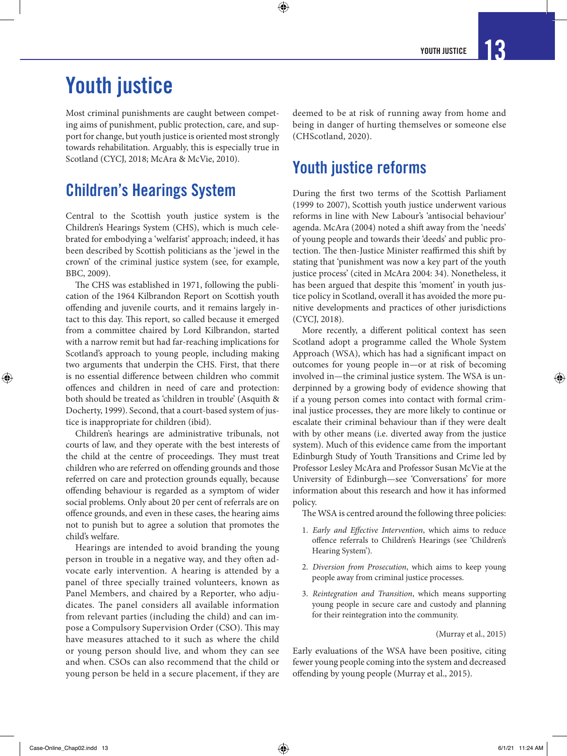# Youth justice

Most criminal punishments are caught between competing aims of punishment, public protection, care, and support for change, but youth justice is oriented most strongly towards rehabilitation. Arguably, this is especially true in Scotland (CYCJ, 2018; McAra & McVie, 2010).

### Children's Hearings System

Central to the Scottish youth justice system is the Children's Hearings System (CHS), which is much celebrated for embodying a 'welfarist' approach; indeed, it has been described by Scottish politicians as the 'jewel in the crown' of the criminal justice system (see, for example, BBC, 2009).

The CHS was established in 1971, following the publication of the 1964 Kilbrandon Report on Scottish youth offending and juvenile courts, and it remains largely intact to this day. This report, so called because it emerged from a committee chaired by Lord Kilbrandon, started with a narrow remit but had far-reaching implications for Scotland's approach to young people, including making two arguments that underpin the CHS. First, that there is no essential difference between children who commit offences and children in need of care and protection: both should be treated as 'children in trouble' (Asquith & Docherty, 1999). Second, that a court-based system of justice is inappropriate for children (ibid).

Children's hearings are administrative tribunals, not courts of law, and they operate with the best interests of the child at the centre of proceedings. They must treat children who are referred on offending grounds and those referred on care and protection grounds equally, because offending behaviour is regarded as a symptom of wider social problems. Only about 20 per cent of referrals are on offence grounds, and even in these cases, the hearing aims not to punish but to agree a solution that promotes the child's welfare.

Hearings are intended to avoid branding the young person in trouble in a negative way, and they often advocate early intervention. A hearing is attended by a panel of three specially trained volunteers, known as Panel Members, and chaired by a Reporter, who adjudicates. The panel considers all available information from relevant parties (including the child) and can impose a Compulsory Supervision Order (CSO). This may have measures attached to it such as where the child or young person should live, and whom they can see and when. CSOs can also recommend that the child or young person be held in a secure placement, if they are

deemed to be at risk of running away from home and being in danger of hurting themselves or someone else (CHScotland, 2020).

### Youth justice reforms

 $\bm{\Theta}$ 

During the first two terms of the Scottish Parliament (1999 to 2007), Scottish youth justice underwent various reforms in line with New Labour's 'antisocial behaviour' agenda. McAra (2004) noted a shift away from the 'needs' of young people and towards their 'deeds' and public protection. The then-Justice Minister reaffirmed this shift by stating that 'punishment was now a key part of the youth justice process' (cited in McAra 2004: 34). Nonetheless, it has been argued that despite this 'moment' in youth justice policy in Scotland, overall it has avoided the more punitive developments and practices of other jurisdictions (CYCJ, 2018).

More recently, a different political context has seen Scotland adopt a programme called the Whole System Approach (WSA), which has had a significant impact on outcomes for young people in—or at risk of becoming involved in—the criminal justice system. The WSA is underpinned by a growing body of evidence showing that if a young person comes into contact with formal criminal justice processes, they are more likely to continue or escalate their criminal behaviour than if they were dealt with by other means (i.e. diverted away from the justice system). Much of this evidence came from the important Edinburgh Study of Youth Transitions and Crime led by Professor Lesley McAra and Professor Susan McVie at the University of Edinburgh—see 'Conversations' for more information about this research and how it has informed policy.

The WSA is centred around the following three policies:

- 1. *Early and Effective Intervention*, which aims to reduce offence referrals to Children's Hearings (see 'Children's Hearing System').
- 2. *Diversion from Prosecution*, which aims to keep young people away from criminal justice processes.
- 3. *Reintegration and Transition*, which means supporting young people in secure care and custody and planning for their reintegration into the community.

(Murray et al., 2015)

Early evaluations of the WSA have been positive, citing fewer young people coming into the system and decreased offending by young people (Murray et al., 2015).

⊕

↔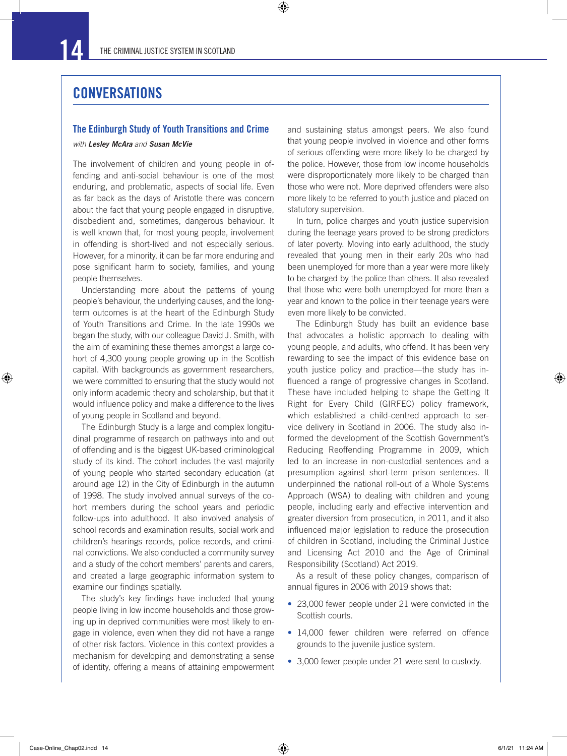$\bigoplus$ 

#### **CONVERSATIONS**

#### The Edinburgh Study of Youth Transitions and Crime

#### *with Lesley McAra and Susan McVie*

The involvement of children and young people in offending and anti-social behaviour is one of the most enduring, and problematic, aspects of social life. Even as far back as the days of Aristotle there was concern about the fact that young people engaged in disruptive, disobedient and, sometimes, dangerous behaviour. It is well known that, for most young people, involvement in offending is short-lived and not especially serious. However, for a minority, it can be far more enduring and pose significant harm to society, families, and young people themselves.

Understanding more about the patterns of young people's behaviour, the underlying causes, and the longterm outcomes is at the heart of the Edinburgh Study of Youth Transitions and Crime. In the late 1990s we began the study, with our colleague David J. Smith, with the aim of examining these themes amongst a large cohort of 4,300 young people growing up in the Scottish capital. With backgrounds as government researchers, we were committed to ensuring that the study would not only inform academic theory and scholarship, but that it would influence policy and make a difference to the lives of young people in Scotland and beyond.

The Edinburgh Study is a large and complex longitudinal programme of research on pathways into and out of offending and is the biggest UK-based criminological study of its kind. The cohort includes the vast majority of young people who started secondary education (at around age 12) in the City of Edinburgh in the autumn of 1998. The study involved annual surveys of the cohort members during the school years and periodic follow-ups into adulthood. It also involved analysis of school records and examination results, social work and children's hearings records, police records, and criminal convictions. We also conducted a community survey and a study of the cohort members' parents and carers, and created a large geographic information system to examine our findings spatially.

The study's key findings have included that young people living in low income households and those growing up in deprived communities were most likely to engage in violence, even when they did not have a range of other risk factors. Violence in this context provides a mechanism for developing and demonstrating a sense of identity, offering a means of attaining empowerment and sustaining status amongst peers. We also found that young people involved in violence and other forms of serious offending were more likely to be charged by the police. However, those from low income households were disproportionately more likely to be charged than those who were not. More deprived offenders were also more likely to be referred to youth justice and placed on statutory supervision.

In turn, police charges and youth justice supervision during the teenage years proved to be strong predictors of later poverty. Moving into early adulthood, the study revealed that young men in their early 20s who had been unemployed for more than a year were more likely to be charged by the police than others. It also revealed that those who were both unemployed for more than a year and known to the police in their teenage years were even more likely to be convicted.

The Edinburgh Study has built an evidence base that advocates a holistic approach to dealing with young people, and adults, who offend. It has been very rewarding to see the impact of this evidence base on youth justice policy and practice—the study has influenced a range of progressive changes in Scotland. These have included helping to shape the Getting It Right for Every Child (GIRFEC) policy framework, which established a child-centred approach to service delivery in Scotland in 2006. The study also informed the development of the Scottish Government's Reducing Reoffending Programme in 2009, which led to an increase in non-custodial sentences and a presumption against short-term prison sentences. It underpinned the national roll-out of a Whole Systems Approach (WSA) to dealing with children and young people, including early and effective intervention and greater diversion from prosecution, in 2011, and it also influenced major legislation to reduce the prosecution of children in Scotland, including the Criminal Justice and Licensing Act 2010 and the Age of Criminal Responsibility (Scotland) Act 2019.

As a result of these policy changes, comparison of annual figures in 2006 with 2019 shows that:

- 23,000 fewer people under 21 were convicted in the Scottish courts.
- 14,000 fewer children were referred on offence grounds to the juvenile justice system.
- 3,000 fewer people under 21 were sent to custody.

⊕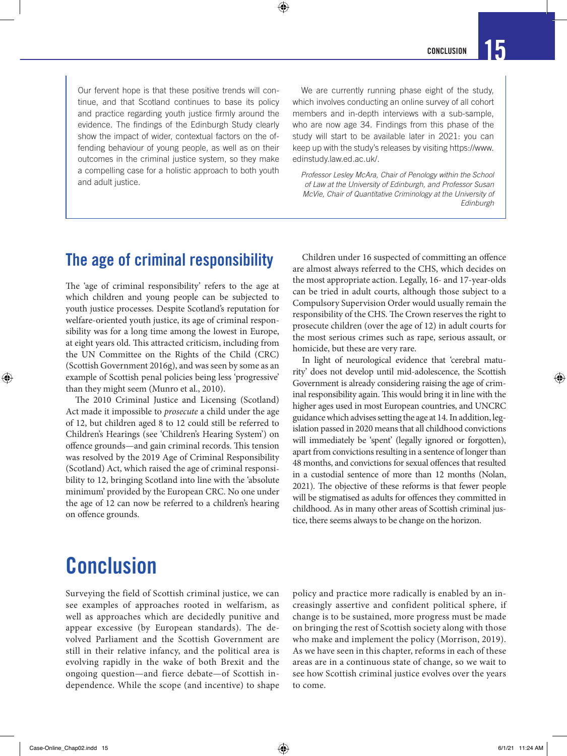Our fervent hope is that these positive trends will continue, and that Scotland continues to base its policy and practice regarding youth justice firmly around the evidence. The findings of the Edinburgh Study clearly show the impact of wider, contextual factors on the offending behaviour of young people, as well as on their outcomes in the criminal justice system, so they make a compelling case for a holistic approach to both youth and adult justice.

 $\bm{\Theta}$ 

We are currently running phase eight of the study, which involves conducting an online survey of all cohort members and in-depth interviews with a sub-sample, who are now age 34. Findings from this phase of the study will start to be available later in 2021: you can keep up with the study's releases by visiting https://www. edinstudy.law.ed.ac.uk/.

*Professor Lesley McAra, Chair of Penology within the School of Law at the University of Edinburgh, and Professor Susan McVie, Chair of Quantitative Criminology at the University of Edinburgh*

### The age of criminal responsibility

The 'age of criminal responsibility' refers to the age at which children and young people can be subjected to youth justice processes. Despite Scotland's reputation for welfare-oriented youth justice, its age of criminal responsibility was for a long time among the lowest in Europe, at eight years old. This attracted criticism, including from the UN Committee on the Rights of the Child (CRC) (Scottish Government 2016g), and was seen by some as an example of Scottish penal policies being less 'progressive' than they might seem (Munro et al., 2010).

The 2010 Criminal Justice and Licensing (Scotland) Act made it impossible to *prosecute* a child under the age of 12, but children aged 8 to 12 could still be referred to Children's Hearings (see 'Children's Hearing System') on offence grounds—and gain criminal records. This tension was resolved by the 2019 Age of Criminal Responsibility (Scotland) Act, which raised the age of criminal responsibility to 12, bringing Scotland into line with the 'absolute minimum' provided by the European CRC. No one under the age of 12 can now be referred to a children's hearing on offence grounds.

Children under 16 suspected of committing an offence are almost always referred to the CHS, which decides on the most appropriate action. Legally, 16- and 17-year-olds can be tried in adult courts, although those subject to a Compulsory Supervision Order would usually remain the responsibility of the CHS. The Crown reserves the right to prosecute children (over the age of 12) in adult courts for the most serious crimes such as rape, serious assault, or homicide, but these are very rare.

In light of neurological evidence that 'cerebral maturity' does not develop until mid-adolescence, the Scottish Government is already considering raising the age of criminal responsibility again. This would bring it in line with the higher ages used in most European countries, and UNCRC guidance which advises setting the age at 14. In addition, legislation passed in 2020 means that all childhood convictions will immediately be 'spent' (legally ignored or forgotten), apart from convictions resulting in a sentence of longer than 48 months, and convictions for sexual offences that resulted in a custodial sentence of more than 12 months (Nolan, 2021). The objective of these reforms is that fewer people will be stigmatised as adults for offences they committed in childhood. As in many other areas of Scottish criminal justice, there seems always to be change on the horizon.

# Conclusion

Surveying the field of Scottish criminal justice, we can see examples of approaches rooted in welfarism, as well as approaches which are decidedly punitive and appear excessive (by European standards). The devolved Parliament and the Scottish Government are still in their relative infancy, and the political area is evolving rapidly in the wake of both Brexit and the ongoing question—and fierce debate—of Scottish independence. While the scope (and incentive) to shape

policy and practice more radically is enabled by an increasingly assertive and confident political sphere, if change is to be sustained, more progress must be made on bringing the rest of Scottish society along with those who make and implement the policy (Morrison, 2019). As we have seen in this chapter, reforms in each of these areas are in a continuous state of change, so we wait to see how Scottish criminal justice evolves over the years to come.

⊕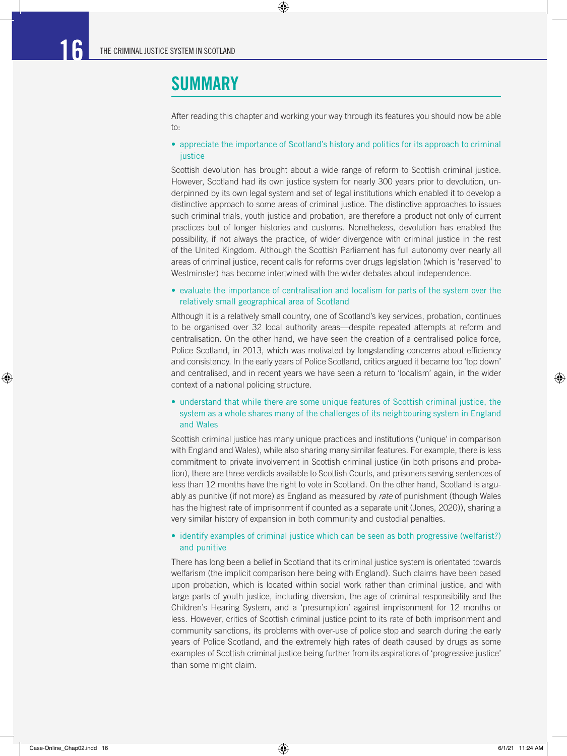### SUMMARY

After reading this chapter and working your way through its features you should now be able to:

 $\bigoplus$ 

#### • appreciate the importance of Scotland's history and politics for its approach to criminal iustice

Scottish devolution has brought about a wide range of reform to Scottish criminal justice. However, Scotland had its own justice system for nearly 300 years prior to devolution, underpinned by its own legal system and set of legal institutions which enabled it to develop a distinctive approach to some areas of criminal justice. The distinctive approaches to issues such criminal trials, youth justice and probation, are therefore a product not only of current practices but of longer histories and customs. Nonetheless, devolution has enabled the possibility, if not always the practice, of wider divergence with criminal justice in the rest of the United Kingdom. Although the Scottish Parliament has full autonomy over nearly all areas of criminal justice, recent calls for reforms over drugs legislation (which is 'reserved' to Westminster) has become intertwined with the wider debates about independence.

#### • evaluate the importance of centralisation and localism for parts of the system over the relatively small geographical area of Scotland

Although it is a relatively small country, one of Scotland's key services, probation, continues to be organised over 32 local authority areas—despite repeated attempts at reform and centralisation. On the other hand, we have seen the creation of a centralised police force, Police Scotland, in 2013, which was motivated by longstanding concerns about efficiency and consistency. In the early years of Police Scotland, critics argued it became too 'top down' and centralised, and in recent years we have seen a return to 'localism' again, in the wider context of a national policing structure.

#### • understand that while there are some unique features of Scottish criminal justice, the system as a whole shares many of the challenges of its neighbouring system in England and Wales

Scottish criminal justice has many unique practices and institutions ('unique' in comparison with England and Wales), while also sharing many similar features. For example, there is less commitment to private involvement in Scottish criminal justice (in both prisons and probation), there are three verdicts available to Scottish Courts, and prisoners serving sentences of less than 12 months have the right to vote in Scotland. On the other hand, Scotland is arguably as punitive (if not more) as England as measured by *rate* of punishment (though Wales has the highest rate of imprisonment if counted as a separate unit (Jones, 2020)), sharing a very similar history of expansion in both community and custodial penalties.

#### • identify examples of criminal justice which can be seen as both progressive (welfarist?) and punitive

There has long been a belief in Scotland that its criminal justice system is orientated towards welfarism (the implicit comparison here being with England). Such claims have been based upon probation, which is located within social work rather than criminal justice, and with large parts of youth justice, including diversion, the age of criminal responsibility and the Children's Hearing System, and a 'presumption' against imprisonment for 12 months or less. However, critics of Scottish criminal justice point to its rate of both imprisonment and community sanctions, its problems with over-use of police stop and search during the early years of Police Scotland, and the extremely high rates of death caused by drugs as some examples of Scottish criminal justice being further from its aspirations of 'progressive justice' than some might claim.

⊕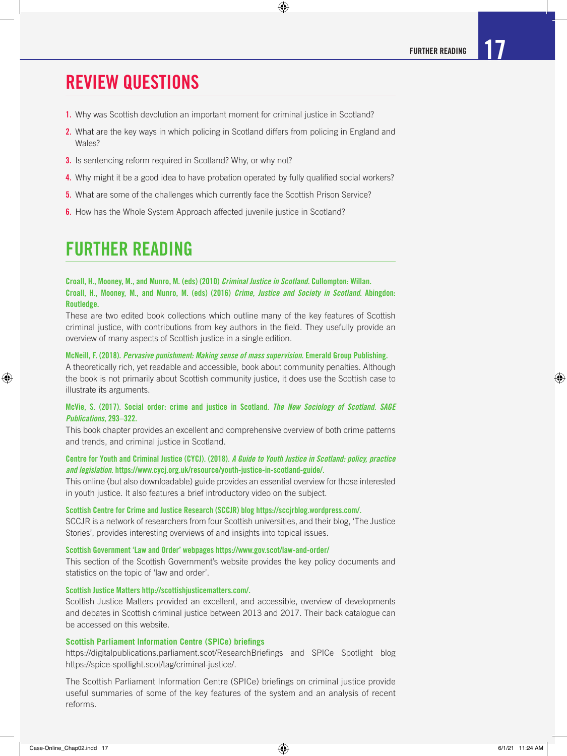### REVIEW QUESTIONS

- 1. Why was Scottish devolution an important moment for criminal justice in Scotland?
- 2. What are the key ways in which policing in Scotland differs from policing in England and Wales?

 $\bigoplus$ 

- **3.** Is sentencing reform required in Scotland? Why, or why not?
- 4. Why might it be a good idea to have probation operated by fully qualified social workers?
- **5.** What are some of the challenges which currently face the Scottish Prison Service?
- 6. How has the Whole System Approach affected juvenile justice in Scotland?

### FURTHER READING

Croall, H., Mooney, M., and Munro, M. (eds) (2010) *Criminal Justice in Scotland.* Cullompton: Willan. Croall, H., Mooney, M., and Munro, M. (eds) (2016) *Crime, Justice and Society in Scotland.* Abingdon: Routledge.

These are two edited book collections which outline many of the key features of Scottish criminal justice, with contributions from key authors in the field. They usefully provide an overview of many aspects of Scottish justice in a single edition.

#### McNeill, F. (2018). *Pervasive punishment: Making sense of mass supervision*. Emerald Group Publishing.

A theoretically rich, yet readable and accessible, book about community penalties. Although the book is not primarily about Scottish community justice, it does use the Scottish case to illustrate its arguments.

#### McVie, S. (2017). Social order: crime and justice in Scotland. *The New Sociology of Scotland. SAGE Publications*, 293–322.

This book chapter provides an excellent and comprehensive overview of both crime patterns and trends, and criminal justice in Scotland.

#### Centre for Youth and Criminal Justice (CYCJ). (2018). *A Guide to Youth Justice in Scotland: policy, practice and legislation*. https://www.cycj.org.uk/resource/youth-justice-in-scotland-guide/.

This online (but also downloadable) guide provides an essential overview for those interested in youth justice. It also features a brief introductory video on the subject.

#### Scottish Centre for Crime and Justice Research (SCCJR) blog https://sccjrblog.wordpress.com/.

SCCJR is a network of researchers from four Scottish universities, and their blog, 'The Justice Stories', provides interesting overviews of and insights into topical issues.

#### Scottish Government 'Law and Order' webpages https://www.gov.scot/law-and-order/

This section of the Scottish Government's website provides the key policy documents and statistics on the topic of 'law and order'.

#### Scottish Justice Matters http://scottishjusticematters.com/.

Scottish Justice Matters provided an excellent, and accessible, overview of developments and debates in Scottish criminal justice between 2013 and 2017. Their back catalogue can be accessed on this website.

#### **Scottish Parliament Information Centre (SPICe) briefings**

https://digitalpublications.parliament.scot/ResearchBriefings and SPICe Spotlight blog https://spice-spotlight.scot/tag/criminal-justice/.

The Scottish Parliament Information Centre (SPICe) briefings on criminal justice provide useful summaries of some of the key features of the system and an analysis of recent reforms.

⊕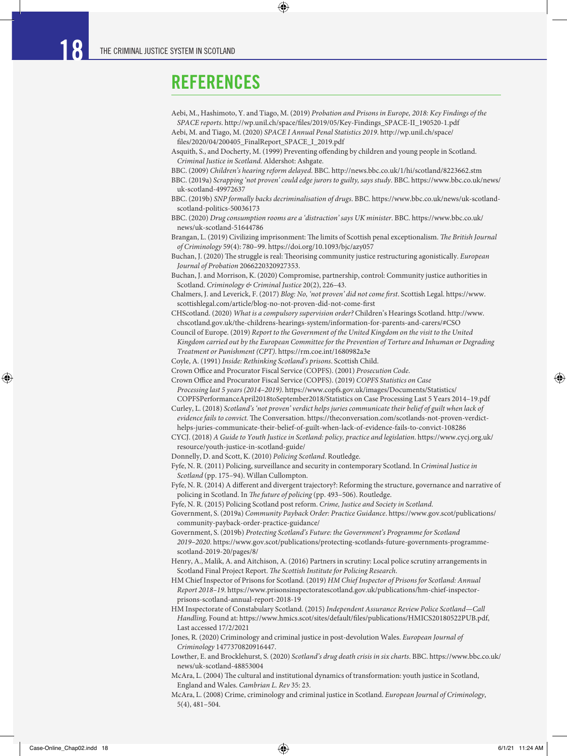### REFERENCES

- Aebi, M., Hashimoto, Y. and Tiago, M. (2019) *Probation and Prisons in Europe, 2018: Key Findings of the SPACE reports*. http://wp.unil.ch/space/files/2019/05/Key-Findings\_SPACE-II\_190520-1.pdf
- Aebi, M. and Tiago, M. (2020) *SPACE I Annual Penal Statistics 2019*. http://wp.unil.ch/space/ files/2020/04/200405\_FinalReport\_SPACE\_I\_2019.pdf

◈

- Asquith, S., and Docherty, M. (1999) Preventing offending by children and young people in Scotland. *Criminal Justice in Scotland.* Aldershot: Ashgate.
- BBC. (2009) *Children's hearing reform delayed*. BBC. http://news.bbc.co.uk/1/hi/scotland/8223662.stm
- BBC. (2019a) *Scrapping 'not proven' could edge jurors to guilty, says study*. BBC. https://www.bbc.co.uk/news/ uk-scotland-49972637
- BBC. (2019b) *SNP formally backs decriminalisation of drugs*. BBC. https://www.bbc.co.uk/news/uk-scotlandscotland-politics-50036173
- BBC. (2020) *Drug consumption rooms are a 'distraction' says UK minister*. BBC. https://www.bbc.co.uk/ news/uk-scotland-51644786
- Brangan, L. (2019) Civilizing imprisonment: The limits of Scottish penal exceptionalism. *The British Journal of Criminology* 59(4): 780–99. https://doi.org/10.1093/bjc/azy057
- Buchan, J. (2020) The struggle is real: Theorising community justice restructuring agonistically. *European Journal of Probation* 2066220320927353.
- Buchan, J. and Morrison, K. (2020) Compromise, partnership, control: Community justice authorities in Scotland. *Criminology & Criminal Justice* 20(2), 226–43.
- Chalmers, J. and Leverick, F. (2017) *Blog: No, 'not proven' did not come first*. Scottish Legal. https://www. scottishlegal.com/article/blog-no-not-proven-did-not-come-first
- CHScotland. (2020) *What is a compulsory supervision order?* Children's Hearings Scotland. http://www. chscotland.gov.uk/the-childrens-hearings-system/information-for-parents-and-carers/#CSO
- Council of Europe. (2019) *Report to the Government of the United Kingdom on the visit to the United Kingdom carried out by the European Committee for the Prevention of Torture and Inhuman or Degrading Treatment or Punishment (CPT)*. https://rm.coe.int/1680982a3e
- Coyle, A. (1991) *Inside: Rethinking Scotland's prisons*. Scottish Child.
- Crown Office and Procurator Fiscal Service (COPFS). (2001) *Prosecution Code*.

Crown Office and Procurator Fiscal Service (COPFS). (2019) *COPFS Statistics on Case* 

*Processing last 5 years (2014–2019)*. https://www.copfs.gov.uk/images/Documents/Statistics/ COPFSPerformanceApril2018toSeptember2018/Statistics on Case Processing Last 5 Years 2014–19.pdf

- Curley, L. (2018) *Scotland's 'not proven' verdict helps juries communicate their belief of guilt when lack of evidence fails to convict.* The Conversation. https://theconversation.com/scotlands-not-proven-verdict-
- helps-juries-communicate-their-belief-of-guilt-when-lack-of-evidence-fails-to-convict-108286 CYCJ. (2018) *A Guide to Youth Justice in Scotland: policy, practice and legislation*. https://www.cycj.org.uk/
- resource/youth-justice-in-scotland-guide/
- Donnelly, D. and Scott, K. (2010) *Policing Scotland*. Routledge.
- Fyfe, N. R. (2011) Policing, surveillance and security in contemporary Scotland. In *Criminal Justice in Scotland* (pp. 175–94). Willan Cullompton.
- Fyfe, N. R. (2014) A different and divergent trajectory?: Reforming the structure, governance and narrative of policing in Scotland. In *The future of policing* (pp. 493–506). Routledge.
- Fyfe, N. R. (2015) Policing Scotland post reform. *Crime, Justice and Society in Scotland*.

Government, S. (2019a) *Community Payback Order: Practice Guidance*. https://www.gov.scot/publications/ community-payback-order-practice-guidance/

- Government, S. (2019b) *Protecting Scotland's Future: the Government's Programme for Scotland 2019–2020*. https://www.gov.scot/publications/protecting-scotlands-future-governments-programmescotland-2019-20/pages/8/
- Henry, A., Malik, A. and Aitchison, A. (2016) Partners in scrutiny: Local police scrutiny arrangements in Scotland Final Project Report. *The Scottish Institute for Policing Research*.
- HM Chief Inspector of Prisons for Scotland. (2019) *HM Chief Inspector of Prisons for Scotland: Annual Report 2018–19*. https://www.prisonsinspectoratescotland.gov.uk/publications/hm-chief-inspectorprisons-scotland-annual-report-2018-19
- HM Inspectorate of Constabulary Scotland. (2015) *Independent Assurance Review Police Scotland—Call Handling,* Found at: https://www.hmics.scot/sites/default/files/publications/HMICS20180522PUB.pdf, Last accessed 17/2/2021
- Jones, R. (2020) Criminology and criminal justice in post-devolution Wales. *European Journal of Criminology* 1477370820916447.
- Lowther, E. and Brocklehurst, S. (2020) *Scotland's drug death crisis in six charts*. BBC. https://www.bbc.co.uk/ news/uk-scotland-48853004
- McAra, L. (2004) The cultural and institutional dynamics of transformation: youth justice in Scotland, England and Wales. *Cambrian L. Rev* 35: 23.
- McAra, L. (2008) Crime, criminology and criminal justice in Scotland. *European Journal of Criminology*, 5(4), 481–504.

⊕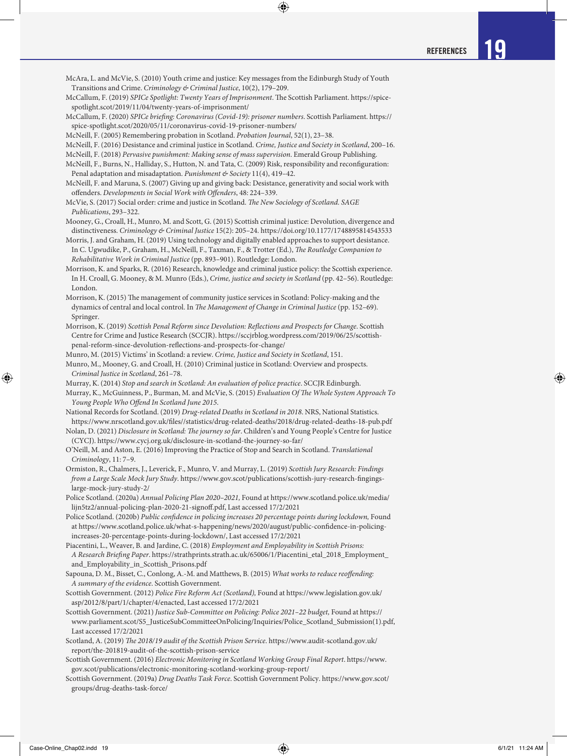McAra, L. and McVie, S. (2010) Youth crime and justice: Key messages from the Edinburgh Study of Youth Transitions and Crime. *Criminology & Criminal Justice*, 10(2), 179–209.

◈

- McCallum, F. (2019) *SPICe Spotlight: Twenty Years of Imprisonment*. The Scottish Parliament. https://spicespotlight.scot/2019/11/04/twenty-years-of-imprisonment/
- McCallum, F. (2020) *SPICe briefing: Coronavirus (Covid-19): prisoner numbers*. Scottish Parliament. https:// spice-spotlight.scot/2020/05/11/coronavirus-covid-19-prisoner-numbers/
- McNeill, F. (2005) Remembering probation in Scotland. *Probation Journal*, 52(1), 23–38.
- McNeill, F. (2016) Desistance and criminal justice in Scotland. *Crime, Justice and Society in Scotland*, 200–16.
- McNeill, F. (2018) *Pervasive punishment: Making sense of mass supervision*. Emerald Group Publishing. McNeill, F., Burns, N., Halliday, S., Hutton, N. and Tata, C. (2009) Risk, responsibility and reconfiguration:
- Penal adaptation and misadaptation. *Punishment & Society* 11(4), 419–42. McNeill, F. and Maruna, S. (2007) Giving up and giving back: Desistance, generativity and social work with
- offenders. *Developments in Social Work with Offenders*, 48: 224–339.
- McVie, S. (2017) Social order: crime and justice in Scotland. *The New Sociology of Scotland. SAGE Publications*, 293–322.
- Mooney, G., Croall, H., Munro, M. and Scott, G. (2015) Scottish criminal justice: Devolution, divergence and distinctiveness. *Criminology & Criminal Justice* 15(2): 205–24. https://doi.org/10.1177/1748895814543533
- Morris, J. and Graham, H. (2019) Using technology and digitally enabled approaches to support desistance. In C. Ugwudike, P., Graham, H., McNeill, F., Taxman, F., & Trotter (Ed.), *The Routledge Companion to Rehabilitative Work in Criminal Justice* (pp. 893–901). Routledge: London.
- Morrison, K. and Sparks, R. (2016) Research, knowledge and criminal justice policy: the Scottish experience. In H. Croall, G. Mooney, & M. Munro (Eds.), *Crime, justice and society in Scotland* (pp. 42–56). Routledge: London.
- Morrison, K. (2015) The management of community justice services in Scotland: Policy-making and the dynamics of central and local control. In *The Management of Change in Criminal Justice* (pp. 152–69). Springer.
- Morrison, K. (2019) *Scottish Penal Reform since Devolution: Reflections and Prospects for Change*. Scottish Centre for Crime and Justice Research (SCCJR). https://sccjrblog.wordpress.com/2019/06/25/scottishpenal-reform-since-devolution-reflections-and-prospects-for-change/
- Munro, M. (2015) Victims' in Scotland: a review. *Crime, Justice and Society in Scotland*, 151.
- Munro, M., Mooney, G. and Croall, H. (2010) Criminal justice in Scotland: Overview and prospects. *Criminal Justice in Scotland*, 261–78.
- Murray, K. (2014) *Stop and search in Scotland: An evaluation of police practice*. SCCJR Edinburgh.
- Murray, K., McGuinness, P., Burman, M. and McVie, S. (2015) *Evaluation Of The Whole System Approach To Young People Who Offend In Scotland June 2015*.
- National Records for Scotland. (2019) *Drug-related Deaths in Scotland in 2018*. NRS, National Statistics. https://www.nrscotland.gov.uk/files//statistics/drug-related-deaths/2018/drug-related-deaths-18-pub.pdf
- Nolan, D. (2021) *Disclosure in Scotland: The journey so far*. Children's and Young People's Centre for Justice (CYCJ). https://www.cycj.org.uk/disclosure-in-scotland-the-journey-so-far/
- O'Neill, M. and Aston, E. (2016) Improving the Practice of Stop and Search in Scotland. *Translational Criminology*, 11: 7–9.
- Ormiston, R., Chalmers, J., Leverick, F., Munro, V. and Murray, L. (2019) *Scottish Jury Research: Findings from a Large Scale Mock Jury Study*. https://www.gov.scot/publications/scottish-jury-research-fingingslarge-mock-jury-study-2/
- Police Scotland. (2020a) *Annual Policing Plan 2020–2021,* Found at https://www.scotland.police.uk/media/ lijn5tz2/annual-policing-plan-2020-21-signoff.pdf, Last accessed 17/2/2021
- Police Scotland. (2020b) *Public confidence in policing increases 20 percentage points during lockdown,* Found at https://www.scotland.police.uk/what-s-happening/news/2020/august/public-confidence-in-policingincreases-20-percentage-points-during-lockdown/, Last accessed 17/2/2021
- Piacentini, L., Weaver, B. and Jardine, C. (2018) *Employment and Employability in Scottish Prisons: A Research Briefing Paper*. https://strathprints.strath.ac.uk/65006/1/Piacentini\_etal\_2018\_Employment\_ and\_Employability\_in\_Scottish\_Prisons.pdf
- Sapouna, D. M., Bisset, C., Conlong, A.-M. and Matthews, B. (2015) *What works to reduce reoffending: A summary of the evidence*. Scottish Government.
- Scottish Government. (2012) *Police Fire Reform Act (Scotland),* Found at https://www.legislation.gov.uk/ asp/2012/8/part/1/chapter/4/enacted, Last accessed 17/2/2021
- Scottish Government. (2021) *Justice Sub-Committee on Policing: Police 2021–22 budget,* Found at https:// www.parliament.scot/S5\_JusticeSubCommitteeOnPolicing/Inquiries/Police\_Scotland\_Submission(1).pdf, Last accessed 17/2/2021
- Scotland, A. (2019) *The 2018/19 audit of the Scottish Prison Service*. https://www.audit-scotland.gov.uk/ report/the-201819-audit-of-the-scottish-prison-service
- Scottish Government. (2016) *Electronic Monitoring in Scotland Working Group Final Report*. https://www. gov.scot/publications/electronic-monitoring-scotland-working-group-report/
- Scottish Government. (2019a) *Drug Deaths Task Force*. Scottish Government Policy. https://www.gov.scot/ groups/drug-deaths-task-force/

⊕